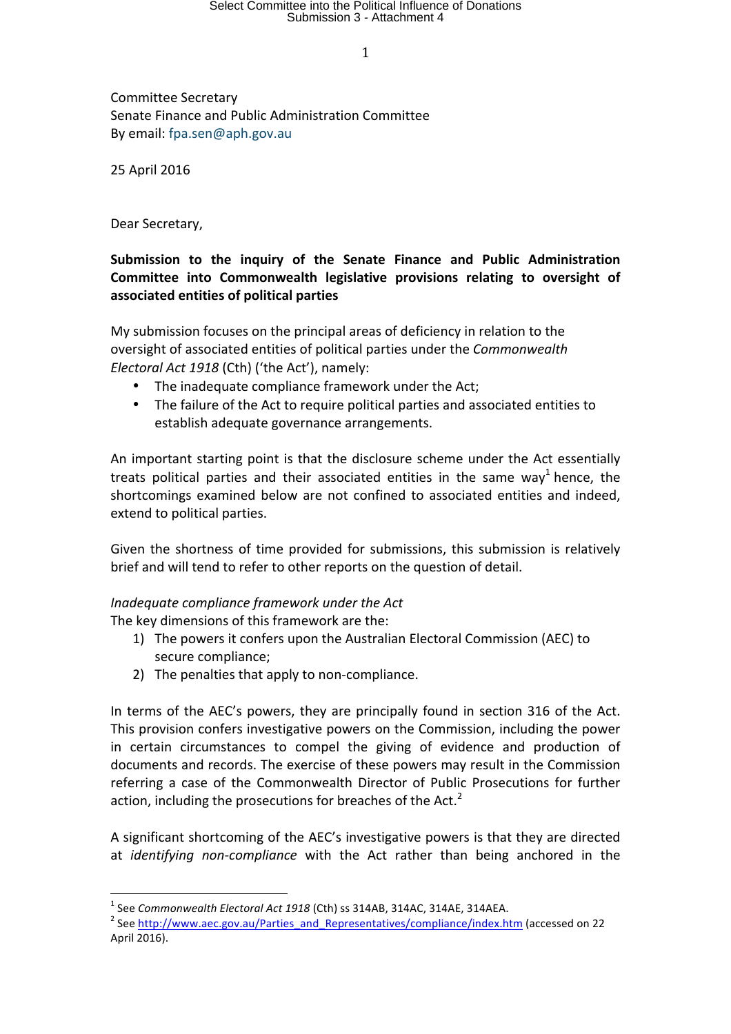Committee Secretary Senate Finance and Public Administration Committee By email: fpa.sen@aph.gov.au

25 April 2016

Dear Secretary,

# Submission to the inquiry of the Senate Finance and Public Administration Committee into Commonwealth legislative provisions relating to oversight of **associated entities of political parties**

My submission focuses on the principal areas of deficiency in relation to the oversight of associated entities of political parties under the *Commonwealth Electoral Act 1918* (Cth) ('the Act'), namely:

- The inadequate compliance framework under the Act;
- The failure of the Act to require political parties and associated entities to establish adequate governance arrangements.

An important starting point is that the disclosure scheme under the Act essentially treats political parties and their associated entities in the same way<sup>1</sup> hence, the shortcomings examined below are not confined to associated entities and indeed, extend to political parties.

Given the shortness of time provided for submissions, this submission is relatively brief and will tend to refer to other reports on the question of detail.

### *Inadequate compliance framework under the Act*

The key dimensions of this framework are the:

- 1) The powers it confers upon the Australian Electoral Commission (AEC) to secure compliance;
- 2) The penalties that apply to non-compliance.

In terms of the AEC's powers, they are principally found in section 316 of the Act. This provision confers investigative powers on the Commission, including the power in certain circumstances to compel the giving of evidence and production of documents and records. The exercise of these powers may result in the Commission referring a case of the Commonwealth Director of Public Prosecutions for further action, including the prosecutions for breaches of the Act. $2$ 

A significant shortcoming of the AEC's investigative powers is that they are directed at *identifying non-compliance* with the Act rather than being anchored in the

<sup>&</sup>lt;sup>1</sup> See *Commonwealth Electoral Act 1918* (Cth) ss 314AB, 314AC, 314AE, 314AEA.<br><sup>2</sup> See http://www.aec.gov.au/Parties\_and\_Representatives/compliance/index.htm (accessed on 22 April 2016).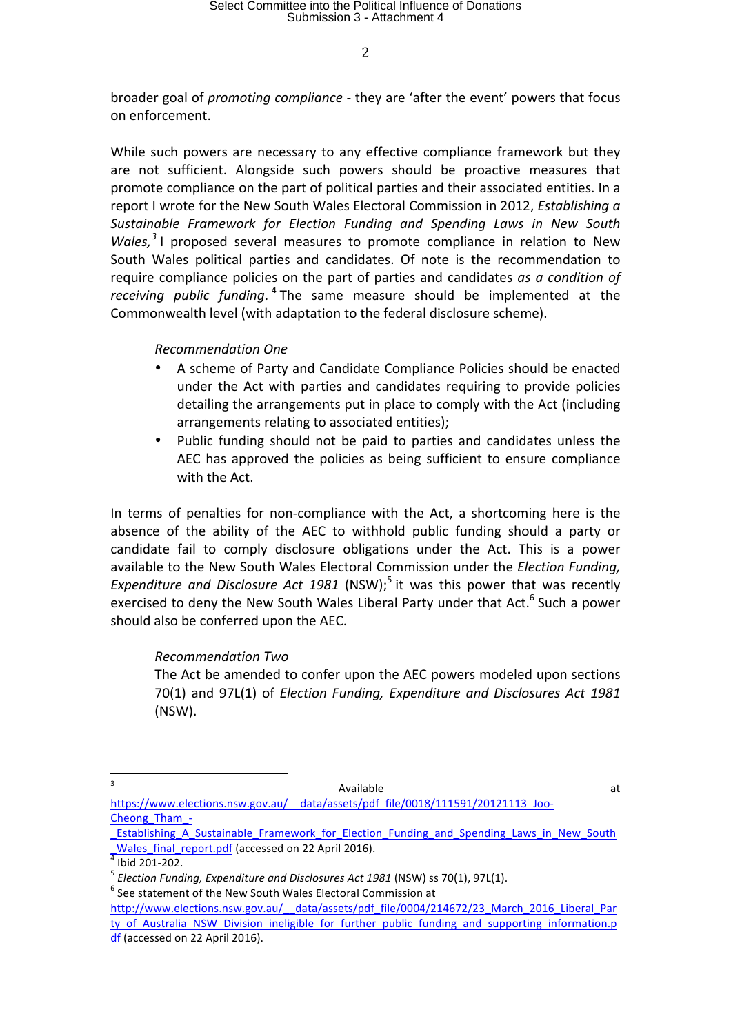broader goal of *promoting compliance* - they are 'after the event' powers that focus on enforcement.

While such powers are necessary to any effective compliance framework but they are not sufficient. Alongside such powers should be proactive measures that promote compliance on the part of political parties and their associated entities. In a report I wrote for the New South Wales Electoral Commission in 2012, *Establishing a Sustainable Framework for Election Funding and Spending Laws in New South Wales*,<sup>3</sup> I proposed several measures to promote compliance in relation to New South Wales political parties and candidates. Of note is the recommendation to require compliance policies on the part of parties and candidates *as a condition of receiving public funding*. <sup>4</sup> The same measure should be implemented at the Commonwealth level (with adaptation to the federal disclosure scheme).

### *Recommendation One*

- A scheme of Party and Candidate Compliance Policies should be enacted under the Act with parties and candidates requiring to provide policies detailing the arrangements put in place to comply with the Act (including arrangements relating to associated entities);
- Public funding should not be paid to parties and candidates unless the AEC has approved the policies as being sufficient to ensure compliance with the Act.

In terms of penalties for non-compliance with the Act, a shortcoming here is the absence of the ability of the AEC to withhold public funding should a party or candidate fail to comply disclosure obligations under the Act. This is a power available to the New South Wales Electoral Commission under the *Election Funding*, Expenditure and Disclosure Act 1981 (NSW);<sup>5</sup> it was this power that was recently exercised to deny the New South Wales Liberal Party under that Act.<sup>6</sup> Such a power should also be conferred upon the AEC.

### *Recommendation Two*

The Act be amended to confer upon the AEC powers modeled upon sections 70(1) and 97L(1) of *Election Funding, Expenditure and Disclosures Act 1981* (NSW). 

- and the contract of the contract of the contract of the contract of the contract of the contract of the contract of the contract of the contract of the contract of the contract of the contract of the contract of the contra https://www.elections.nsw.gov.au/ data/assets/pdf file/0018/111591/20121113\_Joo-Cheong\_Tham\_-
- Establishing A Sustainable Framework for Election Funding and Spending Laws in New South

2

mustable and report.pdf (accessed on 22 April 2016).<br>
<sup>4</sup> Ibid 201-202.<br>
<sup>5</sup> *Election Funding, Expenditure and Disclosures Act 1981* (NSW) ss 70(1), 97L(1).<br>
<sup>6</sup> See statement of the New South Wales Electoral Commission a

http://www.elections.nsw.gov.au/ data/assets/pdf file/0004/214672/23 March 2016 Liberal Par ty of Australia\_NSW\_Division\_ineligible\_for\_further\_public\_funding\_and\_supporting\_information.p df (accessed on 22 April 2016).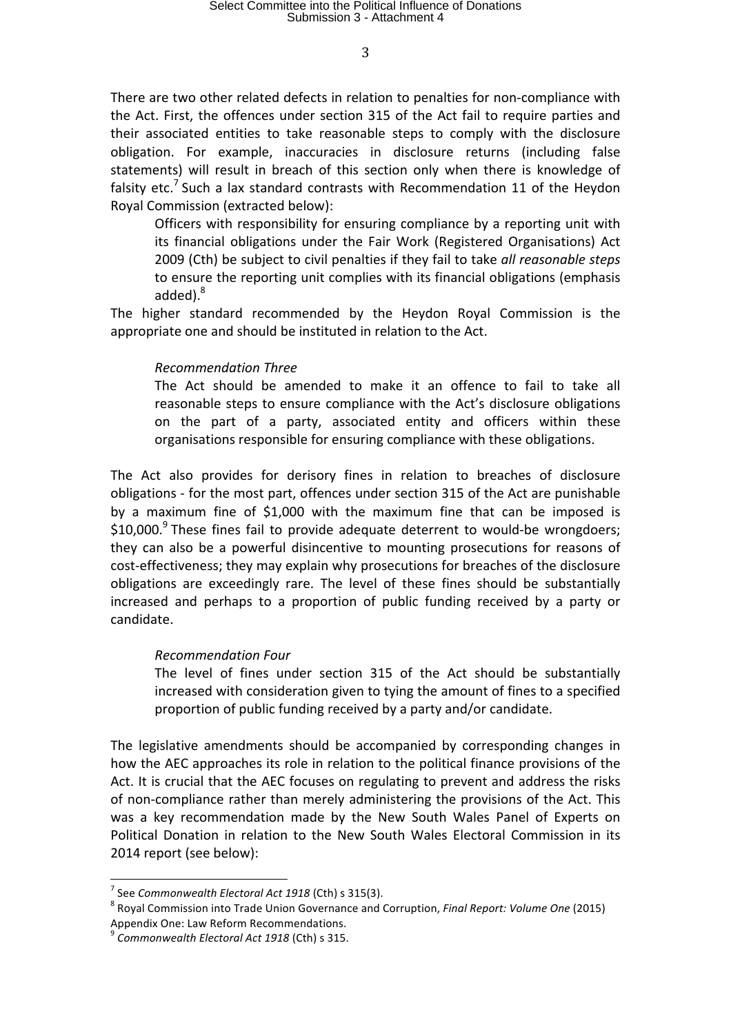There are two other related defects in relation to penalties for non-compliance with the Act. First, the offences under section 315 of the Act fail to require parties and their associated entities to take reasonable steps to comply with the disclosure obligation. For example, inaccuracies in disclosure returns (including false statements) will result in breach of this section only when there is knowledge of falsity etc.<sup> $\prime$ </sup> Such a lax standard contrasts with Recommendation 11 of the Heydon Royal Commission (extracted below):

Officers with responsibility for ensuring compliance by a reporting unit with its financial obligations under the Fair Work (Registered Organisations) Act 2009 (Cth) be subject to civil penalties if they fail to take all reasonable steps to ensure the reporting unit complies with its financial obligations (emphasis added).<sup>8</sup>

The higher standard recommended by the Heydon Royal Commission is the appropriate one and should be instituted in relation to the Act.

#### *Recommendation Three*

The Act should be amended to make it an offence to fail to take all reasonable steps to ensure compliance with the Act's disclosure obligations on the part of a party, associated entity and officers within these organisations responsible for ensuring compliance with these obligations.

The Act also provides for derisory fines in relation to breaches of disclosure obligations - for the most part, offences under section 315 of the Act are punishable by a maximum fine of \$1,000 with the maximum fine that can be imposed is \$10,000.<sup>9</sup> These fines fail to provide adequate deterrent to would-be wrongdoers; they can also be a powerful disincentive to mounting prosecutions for reasons of cost-effectiveness; they may explain why prosecutions for breaches of the disclosure obligations are exceedingly rare. The level of these fines should be substantially increased and perhaps to a proportion of public funding received by a party or candidate.

#### *Recommendation Four*

The level of fines under section 315 of the Act should be substantially increased with consideration given to tying the amount of fines to a specified proportion of public funding received by a party and/or candidate.

The legislative amendments should be accompanied by corresponding changes in how the AEC approaches its role in relation to the political finance provisions of the Act. It is crucial that the AEC focuses on regulating to prevent and address the risks of non-compliance rather than merely administering the provisions of the Act. This was a key recommendation made by the New South Wales Panel of Experts on Political Donation in relation to the New South Wales Electoral Commission in its 2014 report (see below):

<sup>&</sup>lt;sup>7</sup> See *Commonwealth Electoral Act 1918* (Cth) s 315(3).<br><sup>8</sup> Royal Commission into Trade Union Governance and Corruption, *Final Report: Volume One* (2015) Appendix One: Law Reform Recommendations.<br><sup>9</sup> *Commonwealth Electoral Act 1918* (Cth) s 315.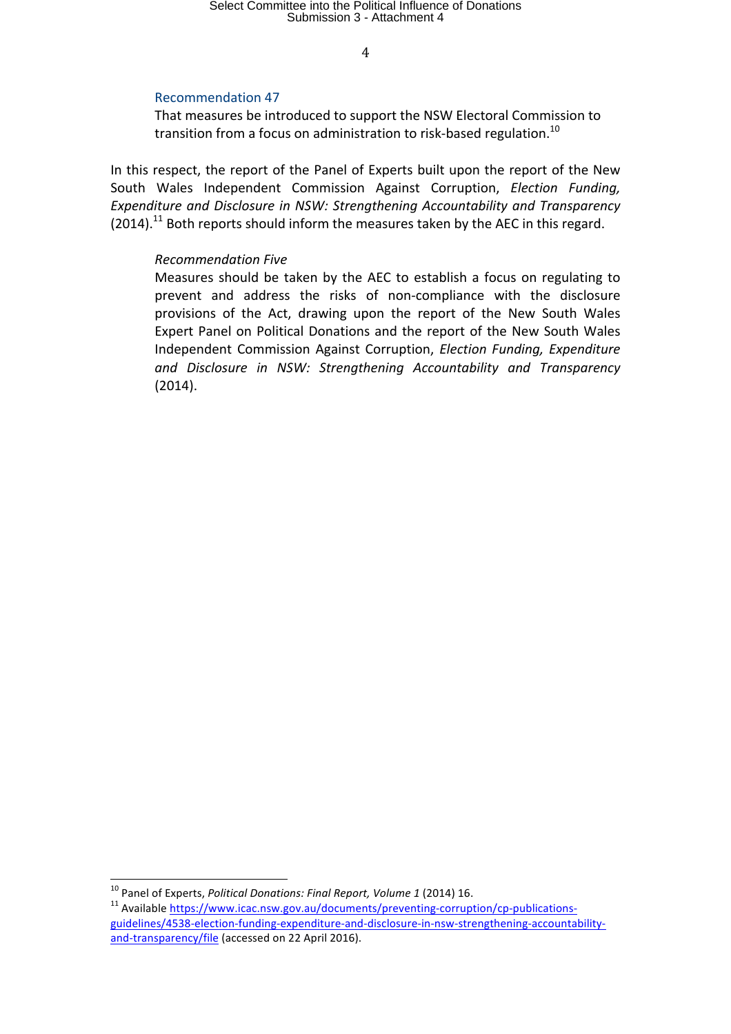## Recommendation 47

That measures be introduced to support the NSW Electoral Commission to transition from a focus on administration to risk-based regulation.<sup>10</sup>

In this respect, the report of the Panel of Experts built upon the report of the New South Wales Independent Commission Against Corruption, *Election Funding*, *Expenditure and Disclosure in NSW: Strengthening Accountability and Transparency*  $(2014).$ <sup>11</sup> Both reports should inform the measures taken by the AEC in this regard.

### *Recommendation Five*

Measures should be taken by the AEC to establish a focus on regulating to prevent and address the risks of non-compliance with the disclosure provisions of the Act, drawing upon the report of the New South Wales Expert Panel on Political Donations and the report of the New South Wales Independent Commission Against Corruption, *Election Funding, Expenditure* and Disclosure in NSW: Strengthening Accountability and Transparency (2014).

<sup>&</sup>lt;sup>10</sup> Panel of Experts, *Political Donations: Final Report, Volume 1* (2014) 16.<br><sup>11</sup> Available https://www.icac.nsw.gov.au/documents/preventing-corruption/cp-publicationsguidelines/4538-election-funding-expenditure-and-disclosure-in-nsw-strengthening-accountabilityand-transparency/file (accessed on 22 April 2016).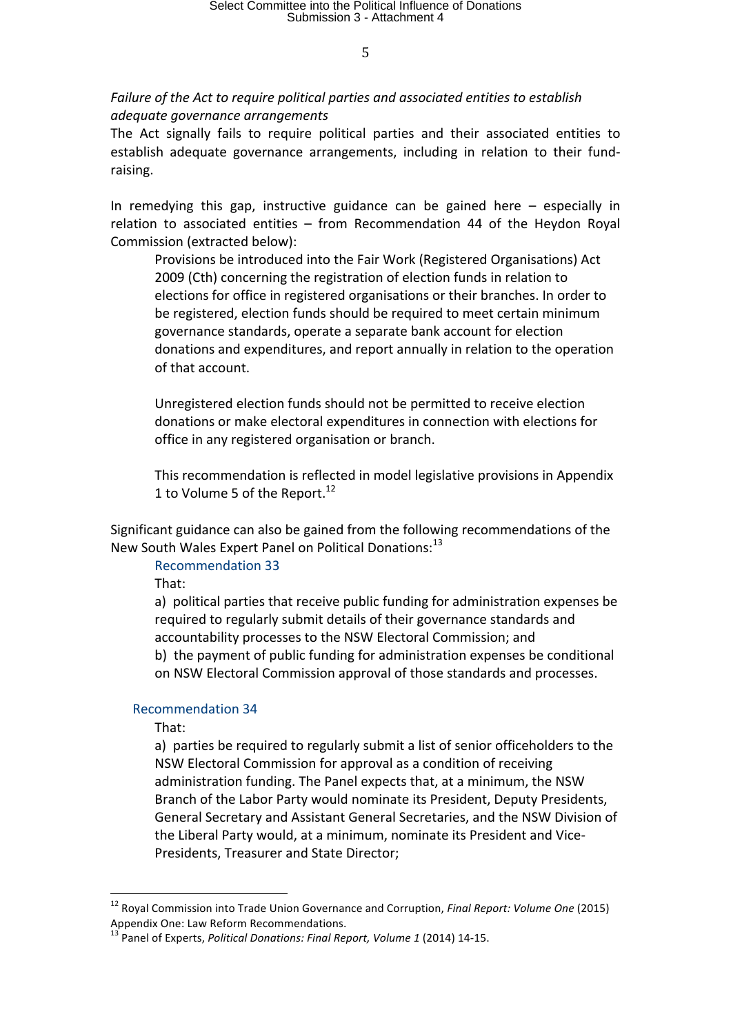Failure of the Act to require political parties and associated entities to establish *adequate governance arrangements*

The Act signally fails to require political parties and their associated entities to establish adequate governance arrangements, including in relation to their fundraising. 

In remedying this gap, instructive guidance can be gained here  $-$  especially in relation to associated entities  $-$  from Recommendation 44 of the Heydon Royal Commission (extracted below):

Provisions be introduced into the Fair Work (Registered Organisations) Act 2009 (Cth) concerning the registration of election funds in relation to elections for office in registered organisations or their branches. In order to be registered, election funds should be required to meet certain minimum governance standards, operate a separate bank account for election donations and expenditures, and report annually in relation to the operation of that account.

Unregistered election funds should not be permitted to receive election donations or make electoral expenditures in connection with elections for office in any registered organisation or branch.

This recommendation is reflected in model legislative provisions in Appendix 1 to Volume 5 of the Report. $^{12}$ 

Significant guidance can also be gained from the following recommendations of the New South Wales Expert Panel on Political Donations:<sup>13</sup>

Recommendation 33 

That: 

a) political parties that receive public funding for administration expenses be required to regularly submit details of their governance standards and accountability processes to the NSW Electoral Commission; and

b) the payment of public funding for administration expenses be conditional on NSW Electoral Commission approval of those standards and processes.

### Recommendation 34

That: 

a) parties be required to regularly submit a list of senior officeholders to the NSW Electoral Commission for approval as a condition of receiving administration funding. The Panel expects that, at a minimum, the NSW Branch of the Labor Party would nominate its President, Deputy Presidents, General Secretary and Assistant General Secretaries, and the NSW Division of the Liberal Party would, at a minimum, nominate its President and Vice-Presidents, Treasurer and State Director;

<sup>&</sup>lt;sup>12</sup> Royal Commission into Trade Union Governance and Corruption, *Final Report: Volume One* (2015) Appendix One: Law Reform Recommendations.

<sup>&</sup>lt;sup>13</sup> Panel of Experts, *Political Donations: Final Report, Volume 1* (2014) 14-15.